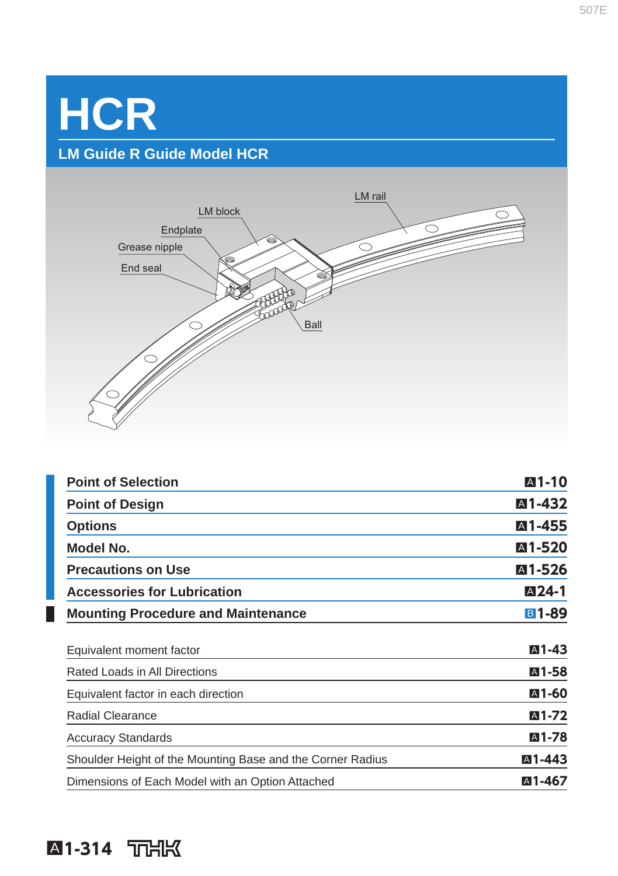# **HCR**

## **LM Guide R Guide Model HCR**



| <b>Point of Selection</b>                                  | <b>A1-10</b>       |
|------------------------------------------------------------|--------------------|
| <b>Point of Design</b>                                     | ■1-432             |
| <b>Options</b>                                             | <b>A1-455</b>      |
| Model No.                                                  | ■1-520             |
| <b>Precautions on Use</b>                                  | ⊠1-526             |
| <b>Accessories for Lubrication</b>                         | A <sub>24</sub> -1 |
| <b>Mounting Procedure and Maintenance</b>                  | <b>B1-89</b>       |
| Equivalent moment factor                                   | A1-43              |
| Rated Loads in All Directions                              | A1-58              |
| Equivalent factor in each direction                        | <b>A1-60</b>       |
| <b>Radial Clearance</b>                                    | A1-72              |
| <b>Accuracy Standards</b>                                  | A1-78              |
| Shoulder Height of the Mounting Base and the Corner Radius | ⊠1-443             |
| Dimensions of Each Model with an Option Attached           | ⊠1-467             |

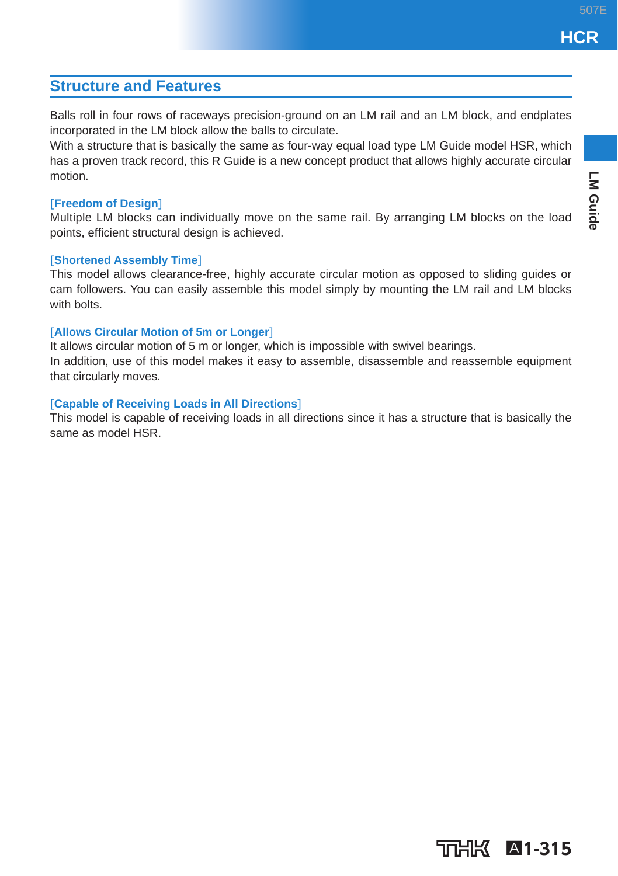**LM Guide**

**LM Guide** 

#### **Structure and Features**

Balls roll in four rows of raceways precision-ground on an LM rail and an LM block, and endplates incorporated in the LM block allow the balls to circulate.

With a structure that is basically the same as four-way equal load type LM Guide model HSR, which has a proven track record, this R Guide is a new concept product that allows highly accurate circular motion.

#### [**Freedom of Design**]

Multiple LM blocks can individually move on the same rail. By arranging LM blocks on the load points, efficient structural design is achieved.

#### [**Shortened Assembly Time**]

This model allows clearance-free, highly accurate circular motion as opposed to sliding guides or cam followers. You can easily assemble this model simply by mounting the LM rail and LM blocks with **bolts** 

#### [**Allows Circular Motion of 5m or Longer**]

 It allows circular motion of 5 m or longer, which is impossible with swivel bearings. In addition, use of this model makes it easy to assemble, disassemble and reassemble equipment that circularly moves.

#### [**Capable of Receiving Loads in All Directions**]

This model is capable of receiving loads in all directions since it has a structure that is basically the same as model HSR.

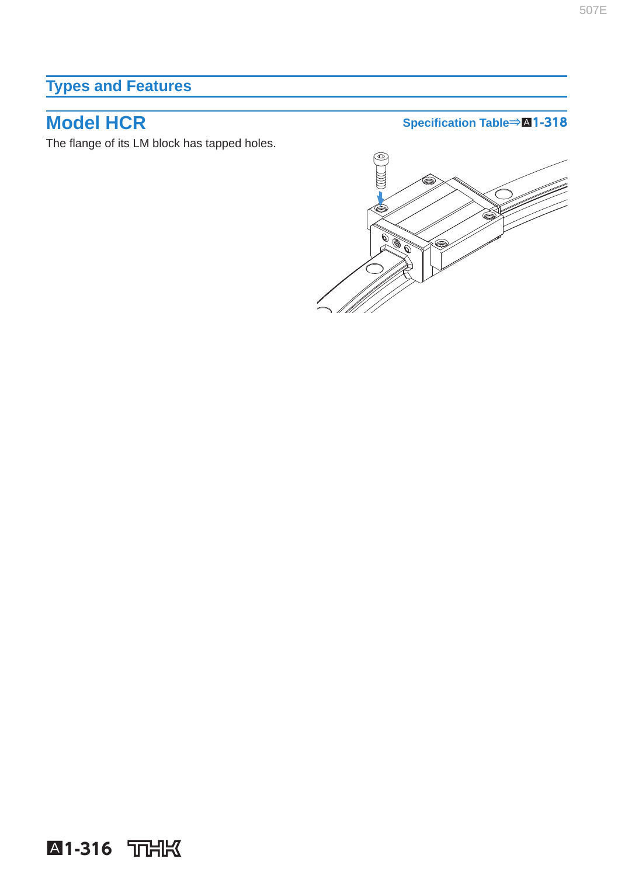# **Types and Features**

The flange of its LM block has tapped holes.

### **Model HCR** Specification Table⇒M1-318



A**1-316**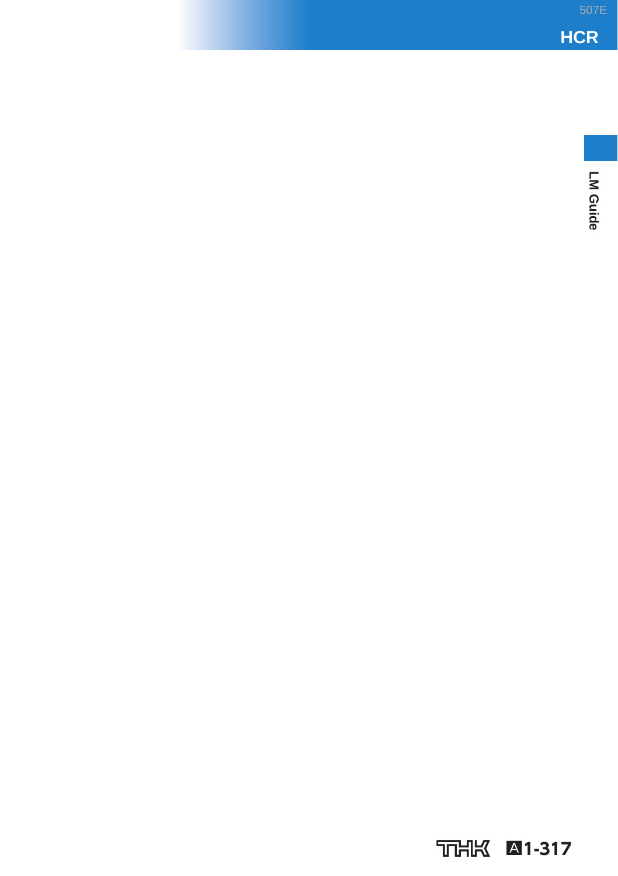LM Guide

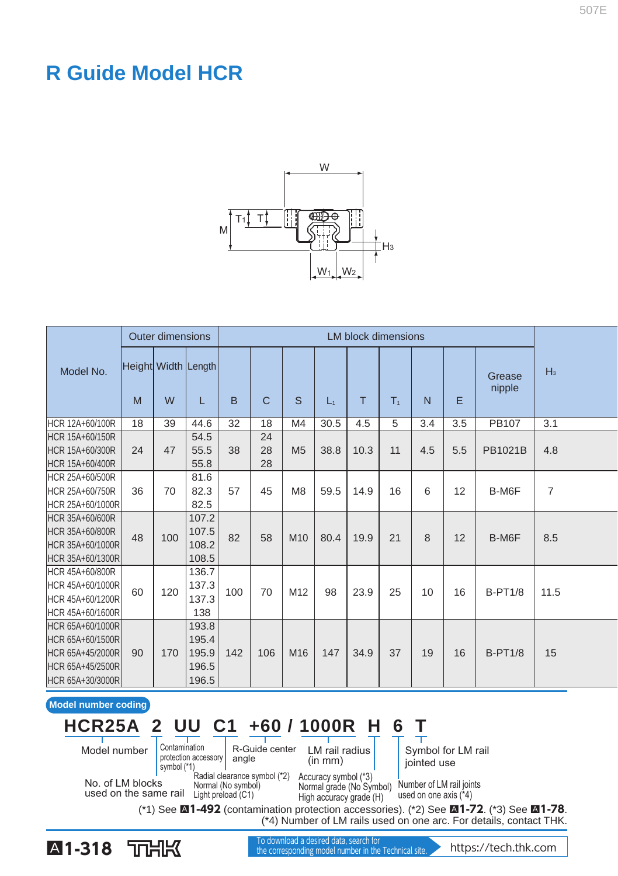# <span id="page-4-0"></span> **R Guide Model HCR**

W M **OIDE**  $\mathsf{T}_1\mathsf{J}$   $\mathsf{T}$  , M H3 W<sub>1</sub> W2

|                                                                                                  |    | <b>Outer dimensions</b> |                                           |     |                |                 |       |      |                |     |     |                  |                |
|--------------------------------------------------------------------------------------------------|----|-------------------------|-------------------------------------------|-----|----------------|-----------------|-------|------|----------------|-----|-----|------------------|----------------|
| Model No.                                                                                        | M  | W                       | Height Width Length<br>L                  | B   | $\mathsf{C}$   | S               | $L_1$ | T    | T <sub>1</sub> | N   | E   | Grease<br>nipple | H <sub>3</sub> |
| HCR 12A+60/100R                                                                                  | 18 | 39                      | 44.6                                      | 32  | 18             | M4              | 30.5  | 4.5  | 5              | 3.4 | 3.5 | PB107            | 3.1            |
| HCR 15A+60/150R<br>HCR 15A+60/300R<br>HCR 15A+60/400R                                            | 24 | 47                      | 54.5<br>55.5<br>55.8                      | 38  | 24<br>28<br>28 | M <sub>5</sub>  | 38.8  | 10.3 | 11             | 4.5 | 5.5 | PB1021B          | 4.8            |
| HCR 25A+60/500R<br>HCR 25A+60/750R<br>HCR 25A+60/1000R                                           | 36 | 70                      | 81.6<br>82.3<br>82.5                      | 57  | 45             | M <sub>8</sub>  | 59.5  | 14.9 | 16             | 6   | 12  | B-M6F            | 7              |
| HCR 35A+60/600R<br>HCR 35A+60/800R<br>HCR 35A+60/1000R<br>HCR 35A+60/1300R                       | 48 | 100                     | 107.2<br>107.5<br>108.2<br>108.5          | 82  | 58             | M10             | 80.4  | 19.9 | 21             | 8   | 12  | B-M6F            | 8.5            |
| HCR 45A+60/800R<br>HCR 45A+60/1000R<br>HCR 45A+60/1200R<br>HCR 45A+60/1600R                      | 60 | 120                     | 136.7<br>137.3<br>137.3<br>138            | 100 | 70             | M <sub>12</sub> | 98    | 23.9 | 25             | 10  | 16  | $B-PT1/8$        | 11.5           |
| HCR 65A+60/1000R<br>HCR 65A+60/1500R<br>HCR 65A+45/2000R<br>HCR 65A+45/2500R<br>HCR 65A+30/3000R | 90 | 170                     | 193.8<br>195.4<br>195.9<br>196.5<br>196.5 | 142 | 106            | M <sub>16</sub> | 147   | 34.9 | 37             | 19  | 16  | $B-PT1/8$        | 15             |



# **HCR25A 2 UU C1 +60 / 1000R H 6 T**

Model number

**Contamination** protection accessory angle R-Guide center

LM rail radius (in mm)

Symbol for LM rail jointed use

No. of LM blocks used on the same rail Normal (No symbol) Light preload (C1)

symbol (\*1)

Radial clearance symbol (\*2) Accuracy symbol (\*3) Normal grade (No Symbol) Number of LM rail joints High accuracy grade (H)

used on one axis (\*4)

(\*1) See A**1-492** (contamination protection accessories). (\*2) See A**1-72** . (\*3) See A**1-78** . (\*4) Number of LM rails used on one arc. For details, contact THK.